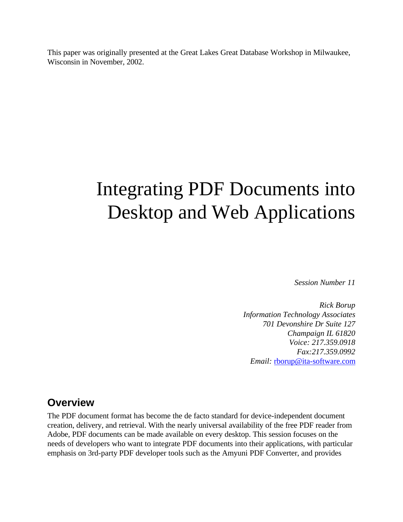This paper was originally presented at the Great Lakes Great Database Workshop in Milwaukee, Wisconsin in November, 2002.

# Integrating PDF Documents into Desktop and Web Applications

*Session Number 11*

*Rick Borup Information Technology Associates 701 Devonshire Dr Suite 127 Champaign IL 61820 Voice: 217.359.0918 Fax:217.359.0992 Email:* rborup@ita-software.com

## **Overview**

The PDF document format has become the de facto standard for device-independent document creation, delivery, and retrieval. With the nearly universal availability of the free PDF reader from Adobe, PDF documents can be made available on every desktop. This session focuses on the needs of developers who want to integrate PDF documents into their applications, with particular emphasis on 3rd-party PDF developer tools such as the Amyuni PDF Converter, and provides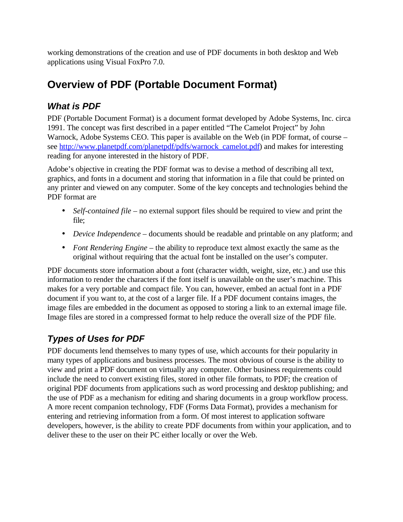working demonstrations of the creation and use of PDF documents in both desktop and Web applications using Visual FoxPro 7.0.

# **Overview of PDF (Portable Document Format)**

## *What is PDF*

PDF (Portable Document Format) is a document format developed by Adobe Systems, Inc. circa 1991. The concept was first described in a paper entitled "The Camelot Project" by John Warnock, Adobe Systems CEO. This paper is available on the Web (in PDF format, of course – see http://www.planetpdf.com/planetpdf/pdfs/warnock\_camelot.pdf) and makes for interesting reading for anyone interested in the history of PDF.

Adobe's objective in creating the PDF format was to devise a method of describing all text, graphics, and fonts in a document and storing that information in a file that could be printed on any printer and viewed on any computer. Some of the key concepts and technologies behind the PDF format are

- *Self-contained file* no external support files should be required to view and print the file;
- *Device Independence* documents should be readable and printable on any platform; and
- *Font Rendering Engine* the ability to reproduce text almost exactly the same as the original without requiring that the actual font be installed on the user's computer.

PDF documents store information about a font (character width, weight, size, etc.) and use this information to render the characters if the font itself is unavailable on the user's machine. This makes for a very portable and compact file. You can, however, embed an actual font in a PDF document if you want to, at the cost of a larger file. If a PDF document contains images, the image files are embedded in the document as opposed to storing a link to an external image file. Image files are stored in a compressed format to help reduce the overall size of the PDF file.

# *Types of Uses for PDF*

PDF documents lend themselves to many types of use, which accounts for their popularity in many types of applications and business processes. The most obvious of course is the ability to view and print a PDF document on virtually any computer. Other business requirements could include the need to convert existing files, stored in other file formats, to PDF; the creation of original PDF documents from applications such as word processing and desktop publishing; and the use of PDF as a mechanism for editing and sharing documents in a group workflow process. A more recent companion technology, FDF (Forms Data Format), provides a mechanism for entering and retrieving information from a form. Of most interest to application software developers, however, is the ability to create PDF documents from within your application, and to deliver these to the user on their PC either locally or over the Web.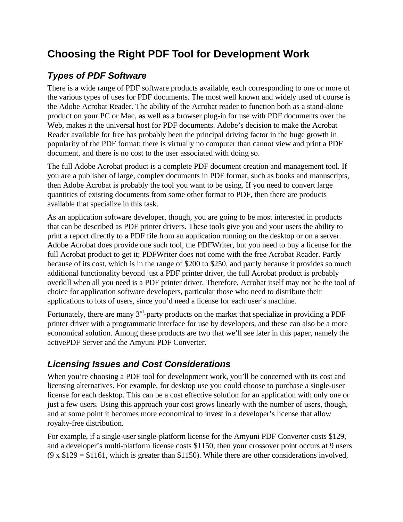# **Choosing the Right PDF Tool for Development Work**

## *Types of PDF Software*

There is a wide range of PDF software products available, each corresponding to one or more of the various types of uses for PDF documents. The most well known and widely used of course is the Adobe Acrobat Reader. The ability of the Acrobat reader to function both as a stand-alone product on your PC or Mac, as well as a browser plug-in for use with PDF documents over the Web, makes it the universal host for PDF documents. Adobe's decision to make the Acrobat Reader available for free has probably been the principal driving factor in the huge growth in popularity of the PDF format: there is virtually no computer than cannot view and print a PDF document, and there is no cost to the user associated with doing so.

The full Adobe Acrobat product is a complete PDF document creation and management tool. If you are a publisher of large, complex documents in PDF format, such as books and manuscripts, then Adobe Acrobat is probably the tool you want to be using. If you need to convert large quantities of existing documents from some other format to PDF, then there are products available that specialize in this task.

As an application software developer, though, you are going to be most interested in products that can be described as PDF printer drivers. These tools give you and your users the ability to print a report directly to a PDF file from an application running on the desktop or on a server. Adobe Acrobat does provide one such tool, the PDFWriter, but you need to buy a license for the full Acrobat product to get it; PDFWriter does not come with the free Acrobat Reader. Partly because of its cost, which is in the range of \$200 to \$250, and partly because it provides so much additional functionality beyond just a PDF printer driver, the full Acrobat product is probably overkill when all you need is a PDF printer driver. Therefore, Acrobat itself may not be the tool of choice for application software developers, particular those who need to distribute their applications to lots of users, since you'd need a license for each user's machine.

Fortunately, there are many  $3<sup>rd</sup>$ -party products on the market that specialize in providing a PDF printer driver with a programmatic interface for use by developers, and these can also be a more economical solution. Among these products are two that we'll see later in this paper, namely the activePDF Server and the Amyuni PDF Converter.

#### *Licensing Issues and Cost Considerations*

When you're choosing a PDF tool for development work, you'll be concerned with its cost and licensing alternatives. For example, for desktop use you could choose to purchase a single-user license for each desktop. This can be a cost effective solution for an application with only one or just a few users. Using this approach your cost grows linearly with the number of users, though, and at some point it becomes more economical to invest in a developer's license that allow royalty-free distribution.

For example, if a single-user single-platform license for the Amyuni PDF Converter costs \$129, and a developer's multi-platform license costs \$1150, then your crossover point occurs at 9 users  $(9 \times \$129 = \$1161,$  which is greater than \$1150). While there are other considerations involved,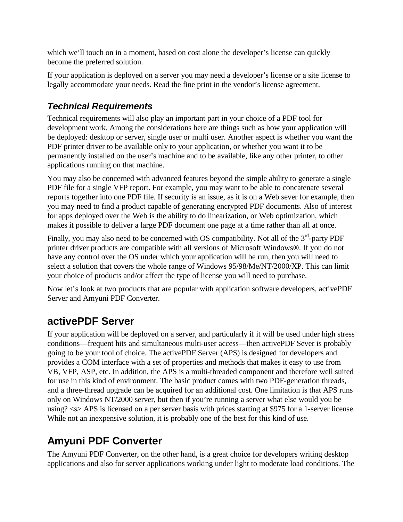which we'll touch on in a moment, based on cost alone the developer's license can quickly become the preferred solution.

If your application is deployed on a server you may need a developer's license or a site license to legally accommodate your needs. Read the fine print in the vendor's license agreement.

# *Technical Requirements*

Technical requirements will also play an important part in your choice of a PDF tool for development work. Among the considerations here are things such as how your application will be deployed: desktop or server, single user or multi user. Another aspect is whether you want the PDF printer driver to be available only to your application, or whether you want it to be permanently installed on the user's machine and to be available, like any other printer, to other applications running on that machine.

You may also be concerned with advanced features beyond the simple ability to generate a single PDF file for a single VFP report. For example, you may want to be able to concatenate several reports together into one PDF file. If security is an issue, as it is on a Web sever for example, then you may need to find a product capable of generating encrypted PDF documents. Also of interest for apps deployed over the Web is the ability to do linearization, or Web optimization, which makes it possible to deliver a large PDF document one page at a time rather than all at once.

Finally, you may also need to be concerned with OS compatibility. Not all of the  $3<sup>rd</sup>$ -party PDF printer driver products are compatible with all versions of Microsoft Windows®. If you do not have any control over the OS under which your application will be run, then you will need to select a solution that covers the whole range of Windows 95/98/Me/NT/2000/XP. This can limit your choice of products and/or affect the type of license you will need to purchase.

Now let's look at two products that are popular with application software developers, activePDF Server and Amyuni PDF Converter.

# **activePDF Server**

If your application will be deployed on a server, and particularly if it will be used under high stress conditions—frequent hits and simultaneous multi-user access—then activePDF Sever is probably going to be your tool of choice. The activePDF Server (APS) is designed for developers and provides a COM interface with a set of properties and methods that makes it easy to use from VB, VFP, ASP, etc. In addition, the APS is a multi-threaded component and therefore well suited for use in this kind of environment. The basic product comes with two PDF-generation threads, and a three-thread upgrade can be acquired for an additional cost. One limitation is that APS runs only on Windows NT/2000 server, but then if you're running a server what else would you be using? <s> APS is licensed on a per server basis with prices starting at \$975 for a 1-server license. While not an inexpensive solution, it is probably one of the best for this kind of use.

# **Amyuni PDF Converter**

The Amyuni PDF Converter, on the other hand, is a great choice for developers writing desktop applications and also for server applications working under light to moderate load conditions. The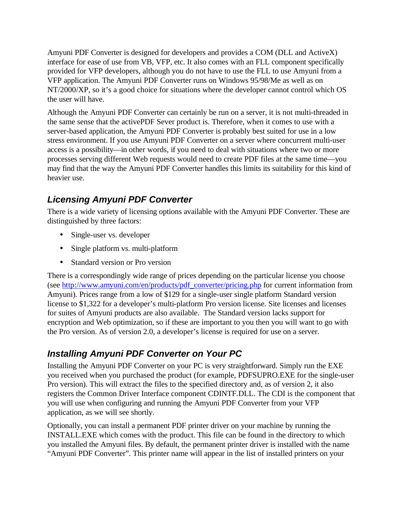Amyuni PDF Converter is designed for developers and provides a COM (DLL and ActiveX) interface for ease of use from VB, VFP, etc. It also comes with an FLL component specifically provided for VFP developers, although you do not have to use the FLL to use Amyuni from a VFP application. The Amyuni PDF Converter runs on Windows 95/98/Me as well as on NT/2000/XP, so it's a good choice for situations where the developer cannot control which OS the user will have.

Although the Amyuni PDF Converter can certainly be run on a server, it is not multi-threaded in the same sense that the activePDF Sever product is. Therefore, when it comes to use with a server-based application, the Amyuni PDF Converter is probably best suited for use in a low stress environment. If you use Amyuni PDF Converter on a server where concurrent multi-user access is a possibility—in other words, if you need to deal with situations where two or more processes serving different Web requests would need to create PDF files at the same time—you may find that the way the Amyuni PDF Converter handles this limits its suitability for this kind of heavier use.

## *Licensing Amyuni PDF Converter*

There is a wide variety of licensing options available with the Amyuni PDF Converter. These are distinguished by three factors:

- Single-user vs. developer
- Single platform vs. multi-platform
- Standard version or Pro version

There is a correspondingly wide range of prices depending on the particular license you choose (see http://www.amyuni.com/en/products/pdf\_converter/pricing.php for current information from Amyuni). Prices range from a low of \$129 for a single-user single platform Standard version license to \$1,322 for a developer's multi-platform Pro version license. Site licenses and licenses for suites of Amyuni products are also available. The Standard version lacks support for encryption and Web optimization, so if these are important to you then you will want to go with the Pro version. As of version 2.0, a developer's license is required for use on a server.

## *Installing Amyuni PDF Converter on Your PC*

Installing the Amyuni PDF Converter on your PC is very straightforward. Simply run the EXE you received when you purchased the product (for example, PDFSUPRO.EXE for the single-user Pro version). This will extract the files to the specified directory and, as of version 2, it also registers the Common Driver Interface component CDINTF.DLL. The CDI is the component that you will use when configuring and running the Amyuni PDF Converter from your VFP application, as we will see shortly.

Optionally, you can install a permanent PDF printer driver on your machine by running the INSTALL.EXE which comes with the product. This file can be found in the directory to which you installed the Amyuni files. By default, the permanent printer driver is installed with the name "Amyuni PDF Converter". This printer name will appear in the list of installed printers on your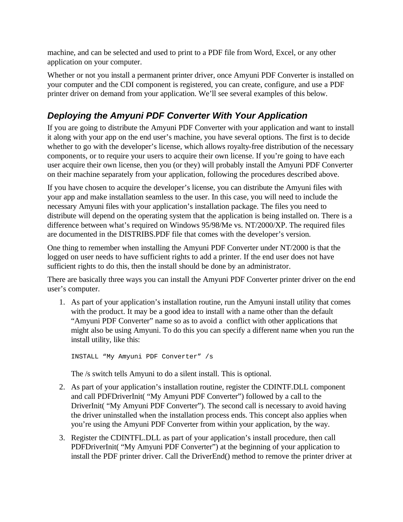machine, and can be selected and used to print to a PDF file from Word, Excel, or any other application on your computer.

Whether or not you install a permanent printer driver, once Amyuni PDF Converter is installed on your computer and the CDI component is registered, you can create, configure, and use a PDF printer driver on demand from your application. We'll see several examples of this below.

## *Deploying the Amyuni PDF Converter With Your Application*

If you are going to distribute the Amyuni PDF Converter with your application and want to install it along with your app on the end user's machine, you have several options. The first is to decide whether to go with the developer's license, which allows royalty-free distribution of the necessary components, or to require your users to acquire their own license. If you're going to have each user acquire their own license, then you (or they) will probably install the Amyuni PDF Converter on their machine separately from your application, following the procedures described above.

If you have chosen to acquire the developer's license, you can distribute the Amyuni files with your app and make installation seamless to the user. In this case, you will need to include the necessary Amyuni files with your application's installation package. The files you need to distribute will depend on the operating system that the application is being installed on. There is a difference between what's required on Windows 95/98/Me vs. NT/2000/XP. The required files are documented in the DISTRIBS.PDF file that comes with the developer's version.

One thing to remember when installing the Amyuni PDF Converter under NT/2000 is that the logged on user needs to have sufficient rights to add a printer. If the end user does not have sufficient rights to do this, then the install should be done by an administrator.

There are basically three ways you can install the Amyuni PDF Converter printer driver on the end user's computer.

1. As part of your application's installation routine, run the Amyuni install utility that comes with the product. It may be a good idea to install with a name other than the default "Amyuni PDF Converter" name so as to avoid a conflict with other applications that might also be using Amyuni. To do this you can specify a different name when you run the install utility, like this:

INSTALL "My Amyuni PDF Converter" /s

The /s switch tells Amyuni to do a silent install. This is optional.

- 2. As part of your application's installation routine, register the CDINTF.DLL component and call PDFDriverInit( "My Amyuni PDF Converter") followed by a call to the DriverInit( "My Amyuni PDF Converter"). The second call is necessary to avoid having the driver uninstalled when the installation process ends. This concept also applies when you're using the Amyuni PDF Converter from within your application, by the way.
- 3. Register the CDINTFL.DLL as part of your application's install procedure, then call PDFDriverInit( "My Amyuni PDF Converter") at the beginning of your application to install the PDF printer driver. Call the DriverEnd() method to remove the printer driver at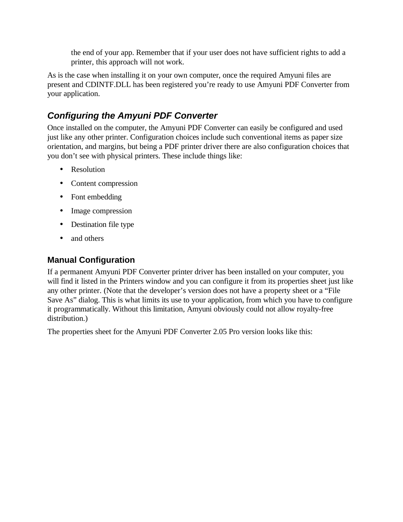the end of your app. Remember that if your user does not have sufficient rights to add a printer, this approach will not work.

As is the case when installing it on your own computer, once the required Amyuni files are present and CDINTF.DLL has been registered you're ready to use Amyuni PDF Converter from your application.

### *Configuring the Amyuni PDF Converter*

Once installed on the computer, the Amyuni PDF Converter can easily be configured and used just like any other printer. Configuration choices include such conventional items as paper size orientation, and margins, but being a PDF printer driver there are also configuration choices that you don't see with physical printers. These include things like:

- Resolution
- Content compression
- Font embedding
- Image compression
- Destination file type
- and others

#### **Manual Configuration**

If a permanent Amyuni PDF Converter printer driver has been installed on your computer, you will find it listed in the Printers window and you can configure it from its properties sheet just like any other printer. (Note that the developer's version does not have a property sheet or a "File Save As" dialog. This is what limits its use to your application, from which you have to configure it programmatically. Without this limitation, Amyuni obviously could not allow royalty-free distribution.)

The properties sheet for the Amyuni PDF Converter 2.05 Pro version looks like this: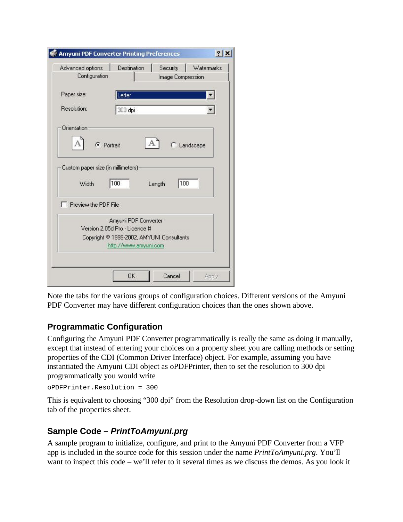| Advanced options<br>Configuration  | Destination<br>Watermarks<br>Security<br>Image Compression         |
|------------------------------------|--------------------------------------------------------------------|
| Paper size:                        | Letter                                                             |
| <b>Resolution:</b>                 | 300 dpi                                                            |
| Orientation                        |                                                                    |
| C Portrait                         | C Landscape                                                        |
| Custom paper size (in millimeters) |                                                                    |
| Width                              | 100<br>100<br>Length                                               |
| Preview the PDF File               |                                                                    |
|                                    | Amyuni PDF Converter<br>Version 2.05d Pro - Licence #              |
|                                    | Copyright © 1999-2002, AMYUNI Consultants<br>http://www.amyuni.com |
|                                    |                                                                    |

Note the tabs for the various groups of configuration choices. Different versions of the Amyuni PDF Converter may have different configuration choices than the ones shown above.

#### **Programmatic Configuration**

Configuring the Amyuni PDF Converter programmatically is really the same as doing it manually, except that instead of entering your choices on a property sheet you are calling methods or setting properties of the CDI (Common Driver Interface) object. For example, assuming you have instantiated the Amyuni CDI object as oPDFPrinter, then to set the resolution to 300 dpi programmatically you would write

oPDFPrinter.Resolution = 300

This is equivalent to choosing "300 dpi" from the Resolution drop-down list on the Configuration tab of the properties sheet.

#### **Sample Code –** *PrintToAmyuni.prg*

A sample program to initialize, configure, and print to the Amyuni PDF Converter from a VFP app is included in the source code for this session under the name *PrintToAmyuni.prg*. You'll want to inspect this code – we'll refer to it several times as we discuss the demos. As you look it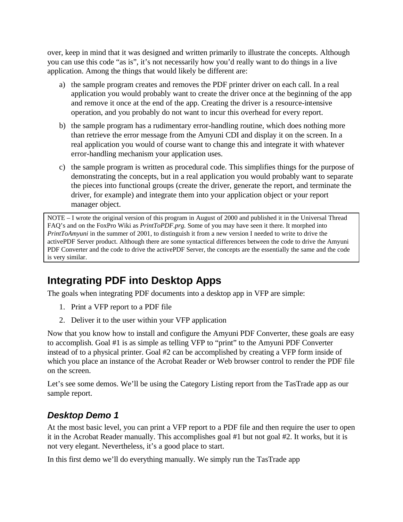over, keep in mind that it was designed and written primarily to illustrate the concepts. Although you can use this code "as is", it's not necessarily how you'd really want to do things in a live application. Among the things that would likely be different are:

- a) the sample program creates and removes the PDF printer driver on each call. In a real application you would probably want to create the driver once at the beginning of the app and remove it once at the end of the app. Creating the driver is a resource-intensive operation, and you probably do not want to incur this overhead for every report.
- b) the sample program has a rudimentary error-handling routine, which does nothing more than retrieve the error message from the Amyuni CDI and display it on the screen. In a real application you would of course want to change this and integrate it with whatever error-handling mechanism your application uses.
- c) the sample program is written as procedural code. This simplifies things for the purpose of demonstrating the concepts, but in a real application you would probably want to separate the pieces into functional groups (create the driver, generate the report, and terminate the driver, for example) and integrate them into your application object or your report manager object.

NOTE – I wrote the original version of this program in August of 2000 and published it in the Universal Thread FAQ's and on the FoxPro Wiki as *PrintToPDF.prg.* Some of you may have seen it there. It morphed into *PrintToAmyuni* in the summer of 2001, to distinguish it from a new version I needed to write to drive the activePDF Server product. Although there are some syntactical differences between the code to drive the Amyuni PDF Converter and the code to drive the activePDF Server, the concepts are the essentially the same and the code is very similar.

# **Integrating PDF into Desktop Apps**

The goals when integrating PDF documents into a desktop app in VFP are simple:

- 1. Print a VFP report to a PDF file
- 2. Deliver it to the user within your VFP application

Now that you know how to install and configure the Amyuni PDF Converter, these goals are easy to accomplish. Goal #1 is as simple as telling VFP to "print" to the Amyuni PDF Converter instead of to a physical printer. Goal #2 can be accomplished by creating a VFP form inside of which you place an instance of the Acrobat Reader or Web browser control to render the PDF file on the screen.

Let's see some demos. We'll be using the Category Listing report from the TasTrade app as our sample report.

#### *Desktop Demo 1*

At the most basic level, you can print a VFP report to a PDF file and then require the user to open it in the Acrobat Reader manually. This accomplishes goal #1 but not goal #2. It works, but it is not very elegant. Nevertheless, it's a good place to start.

In this first demo we'll do everything manually. We simply run the TasTrade app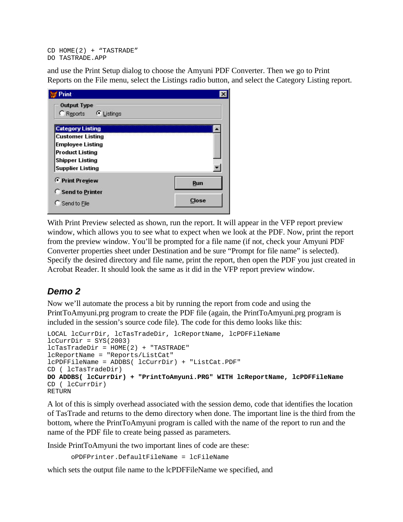CD HOME(2) + "TASTRADE" DO TASTRADE.APP

and use the Print Setup dialog to choose the Amyuni PDF Converter. Then we go to Print Reports on the File menu, select the Listings radio button, and select the Category Listing report.

| Print                                                    |       |
|----------------------------------------------------------|-------|
| <b>Output Type</b><br><b>C</b> Reports <b>C</b> Listings |       |
| <b>Category Listing</b>                                  |       |
| <b>Customer Listing</b>                                  |       |
| <b>Employee Listing</b>                                  |       |
| <b>Product Listing</b>                                   |       |
| <b>Shipper Listing</b>                                   |       |
| <b>Supplier Listing</b>                                  |       |
| <b><i>C</i></b> Print Preview                            | Run   |
| <b>C</b> Send to Printer                                 |       |
| C Send to File                                           | Close |

With Print Preview selected as shown, run the report. It will appear in the VFP report preview window, which allows you to see what to expect when we look at the PDF. Now, print the report from the preview window. You'll be prompted for a file name (if not, check your Amyuni PDF Converter properties sheet under Destination and be sure "Prompt for file name" is selected). Specify the desired directory and file name, print the report, then open the PDF you just created in Acrobat Reader. It should look the same as it did in the VFP report preview window.

#### *Demo 2*

Now we'll automate the process a bit by running the report from code and using the PrintToAmyuni.prg program to create the PDF file (again, the PrintToAmyuni.prg program is included in the session's source code file). The code for this demo looks like this:

```
LOCAL lcCurrDir, lcTasTradeDir, lcReportName, lcPDFFileName
lcCurvDir = SYSTEM(2003)lcTasTradeDir = HOME(2) + "TASTRADE"lcReportName = "Reports/ListCat"
lcPDFFileName = ADDBS( lcCurrDir) + "ListCat.PDF"
CD ( lcTasTradeDir)
DO ADDBS( lcCurrDir) + "PrintToAmyuni.PRG" WITH lcReportName, lcPDFFileName
CD ( lcCurrDir)
RETURN
```
A lot of this is simply overhead associated with the session demo, code that identifies the location of TasTrade and returns to the demo directory when done. The important line is the third from the bottom, where the PrintToAmyuni program is called with the name of the report to run and the name of the PDF file to create being passed as parameters.

Inside PrintToAmyuni the two important lines of code are these:

```
oPDFPrinter.DefaultFileName = lcFileName
```
which sets the output file name to the lcPDFFileName we specified, and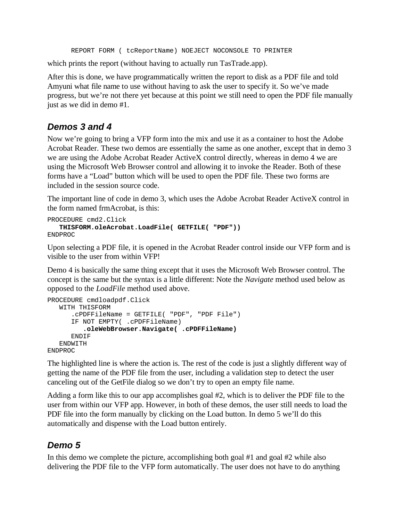REPORT FORM ( tcReportName) NOEJECT NOCONSOLE TO PRINTER

which prints the report (without having to actually run TasTrade.app).

After this is done, we have programmatically written the report to disk as a PDF file and told Amyuni what file name to use without having to ask the user to specify it. So we've made progress, but we're not there yet because at this point we still need to open the PDF file manually just as we did in demo #1.

#### *Demos 3 and 4*

Now we're going to bring a VFP form into the mix and use it as a container to host the Adobe Acrobat Reader. These two demos are essentially the same as one another, except that in demo 3 we are using the Adobe Acrobat Reader ActiveX control directly, whereas in demo 4 we are using the Microsoft Web Browser control and allowing it to invoke the Reader. Both of these forms have a "Load" button which will be used to open the PDF file. These two forms are included in the session source code.

The important line of code in demo 3, which uses the Adobe Acrobat Reader ActiveX control in the form named frmAcrobat, is this:

```
PROCEDURE cmd2.Click
   THISFORM.oleAcrobat.LoadFile( GETFILE( "PDF"))
ENDPROC
```
Upon selecting a PDF file, it is opened in the Acrobat Reader control inside our VFP form and is visible to the user from within VFP!

Demo 4 is basically the same thing except that it uses the Microsoft Web Browser control. The concept is the same but the syntax is a little different: Note the *Navigate* method used below as opposed to the *LoadFile* method used above.

```
PROCEDURE cmdloadpdf.Click
   WITH THISFORM 
      .cPDFFileName = GETFILE( "PDF", "PDF File")
      IF NOT EMPTY( .cPDFFileName)
         .oleWebBrowser.Navigate( .cPDFFileName)
      ENDIF
   ENDWITH
ENDPROC
```
The highlighted line is where the action is. The rest of the code is just a slightly different way of getting the name of the PDF file from the user, including a validation step to detect the user canceling out of the GetFile dialog so we don't try to open an empty file name.

Adding a form like this to our app accomplishes goal #2, which is to deliver the PDF file to the user from within our VFP app. However, in both of these demos, the user still needs to load the PDF file into the form manually by clicking on the Load button. In demo 5 we'll do this automatically and dispense with the Load button entirely.

#### *Demo 5*

In this demo we complete the picture, accomplishing both goal #1 and goal #2 while also delivering the PDF file to the VFP form automatically. The user does not have to do anything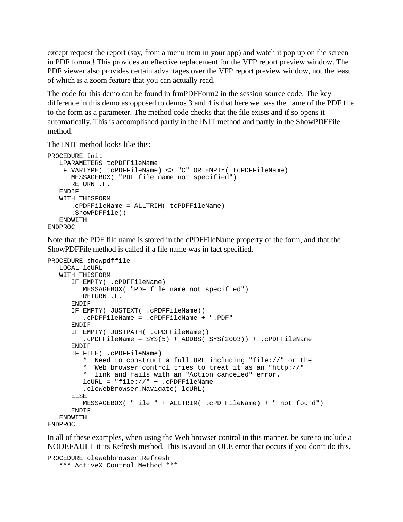except request the report (say, from a menu item in your app) and watch it pop up on the screen in PDF format! This provides an effective replacement for the VFP report preview window. The PDF viewer also provides certain advantages over the VFP report preview window, not the least of which is a zoom feature that you can actually read.

The code for this demo can be found in frmPDFForm2 in the session source code. The key difference in this demo as opposed to demos 3 and 4 is that here we pass the name of the PDF file to the form as a parameter. The method code checks that the file exists and if so opens it automatically. This is accomplished partly in the INIT method and partly in the ShowPDFFile method.

The INIT method looks like this:

```
PROCEDURE Init
   LPARAMETERS tcPDFFileName
   IF VARTYPE( tcPDFFileName) <> "C" OR EMPTY( tcPDFFileName)
      MESSAGEBOX( "PDF file name not specified")
     RETURN .F.
  ENDIF
   WITH THISFORM
      .cPDFFileName = ALLTRIM( tcPDFFileName)
      .ShowPDFFile()
   ENDWITH
ENDPROC
```
Note that the PDF file name is stored in the cPDFFileName property of the form, and that the ShowPDFFile method is called if a file name was in fact specified.

```
PROCEDURE showpdffile
  LOCAL lcURL
   WITH THISFORM
      IF EMPTY( .cPDFFileName)
        MESSAGEBOX( "PDF file name not specified")
        RETURN .F.
     ENDIF
      IF EMPTY( JUSTEXT( .cPDFFileName))
         .cPDFFileName = .cPDFFileName + ".PDF"
     ENDIF
      IF EMPTY( JUSTPATH( .cPDFFileName))
         .cPDFFileName = SYS(5) + ADDBS( SYS(2003)) + .cPDFFileName
     ENDIF
      IF FILE( .cPDFFileName)
         * Need to construct a full URL including "file://" or the
         * Web browser control tries to treat it as an "http://"
         * link and fails with an "Action canceled" error.
         lcURL = "file://" + .cPDFFileName
         .oleWebBrowser.Navigate( lcURL)
      ELSE
        MESSAGEBOX( "File " + ALLTRIM( .cPDFFileName) + " not found")
      ENDIF
   ENDWITH
ENDPROC
```
In all of these examples, when using the Web browser control in this manner, be sure to include a NODEFAULT it its Refresh method. This is avoid an OLE error that occurs if you don't do this.

```
PROCEDURE olewebbrowser.Refresh
  *** ActiveX Control Method ***
```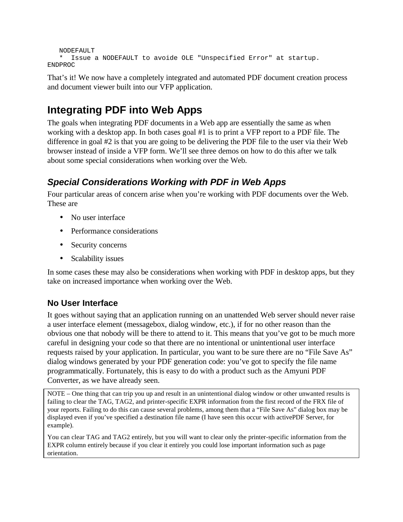```
NODEFAULT
   * Issue a NODEFAULT to avoide OLE "Unspecified Error" at startup.
ENDPROC
```
That's it! We now have a completely integrated and automated PDF document creation process and document viewer built into our VFP application.

# **Integrating PDF into Web Apps**

The goals when integrating PDF documents in a Web app are essentially the same as when working with a desktop app. In both cases goal #1 is to print a VFP report to a PDF file. The difference in goal #2 is that you are going to be delivering the PDF file to the user via their Web browser instead of inside a VFP form. We'll see three demos on how to do this after we talk about some special considerations when working over the Web.

## *Special Considerations Working with PDF in Web Apps*

Four particular areas of concern arise when you're working with PDF documents over the Web. These are

- No user interface
- Performance considerations
- Security concerns
- Scalability issues

In some cases these may also be considerations when working with PDF in desktop apps, but they take on increased importance when working over the Web.

#### **No User Interface**

It goes without saying that an application running on an unattended Web server should never raise a user interface element (messagebox, dialog window, etc.), if for no other reason than the obvious one that nobody will be there to attend to it. This means that you've got to be much more careful in designing your code so that there are no intentional or unintentional user interface requests raised by your application. In particular, you want to be sure there are no "File Save As" dialog windows generated by your PDF generation code: you've got to specify the file name programmatically. Fortunately, this is easy to do with a product such as the Amyuni PDF Converter, as we have already seen.

NOTE – One thing that can trip you up and result in an unintentional dialog window or other unwanted results is failing to clear the TAG, TAG2, and printer-specific EXPR information from the first record of the FRX file of your reports. Failing to do this can cause several problems, among them that a "File Save As" dialog box may be displayed even if you've specified a destination file name (I have seen this occur with activePDF Server, for example).

You can clear TAG and TAG2 entirely, but you will want to clear only the printer-specific information from the EXPR column entirely because if you clear it entirely you could lose important information such as page orientation.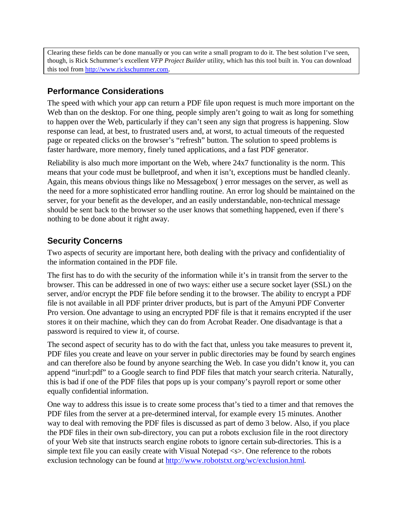Clearing these fields can be done manually or you can write a small program to do it. The best solution I've seen, though, is Rick Schummer's excellent *VFP Project Builder* utility, which has this tool built in. You can download this tool from http://www.rickschummer.com.

#### **Performance Considerations**

The speed with which your app can return a PDF file upon request is much more important on the Web than on the desktop. For one thing, people simply aren't going to wait as long for something to happen over the Web, particularly if they can't seen any sign that progress is happening. Slow response can lead, at best, to frustrated users and, at worst, to actual timeouts of the requested page or repeated clicks on the browser's "refresh" button. The solution to speed problems is faster hardware, more memory, finely tuned applications, and a fast PDF generator.

Reliability is also much more important on the Web, where 24x7 functionality is the norm. This means that your code must be bulletproof, and when it isn't, exceptions must be handled cleanly. Again, this means obvious things like no Messagebox( ) error messages on the server, as well as the need for a more sophisticated error handling routine. An error log should be maintained on the server, for your benefit as the developer, and an easily understandable, non-technical message should be sent back to the browser so the user knows that something happened, even if there's nothing to be done about it right away.

#### **Security Concerns**

Two aspects of security are important here, both dealing with the privacy and confidentiality of the information contained in the PDF file.

The first has to do with the security of the information while it's in transit from the server to the browser. This can be addressed in one of two ways: either use a secure socket layer (SSL) on the server, and/or encrypt the PDF file before sending it to the browser. The ability to encrypt a PDF file is not available in all PDF printer driver products, but is part of the Amyuni PDF Converter Pro version. One advantage to using an encrypted PDF file is that it remains encrypted if the user stores it on their machine, which they can do from Acrobat Reader. One disadvantage is that a password is required to view it, of course.

The second aspect of security has to do with the fact that, unless you take measures to prevent it, PDF files you create and leave on your server in public directories may be found by search engines and can therefore also be found by anyone searching the Web. In case you didn't know it, you can append "inurl:pdf" to a Google search to find PDF files that match your search criteria. Naturally, this is bad if one of the PDF files that pops up is your company's payroll report or some other equally confidential information.

One way to address this issue is to create some process that's tied to a timer and that removes the PDF files from the server at a pre-determined interval, for example every 15 minutes. Another way to deal with removing the PDF files is discussed as part of demo 3 below. Also, if you place the PDF files in their own sub-directory, you can put a robots exclusion file in the root directory of your Web site that instructs search engine robots to ignore certain sub-directories. This is a simple text file you can easily create with Visual Notepad <s>. One reference to the robots exclusion technology can be found at http://www.robotstxt.org/wc/exclusion.html.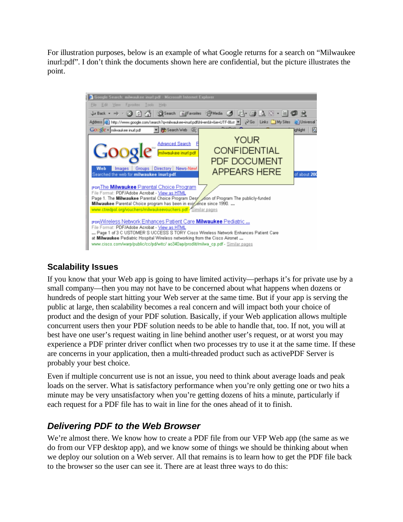For illustration purposes, below is an example of what Google returns for a search on "Milwaukee inurl:pdf". I don't think the documents shown here are confidential, but the picture illustrates the point.



#### **Scalability Issues**

If you know that your Web app is going to have limited activity—perhaps it's for private use by a small company—then you may not have to be concerned about what happens when dozens or hundreds of people start hitting your Web server at the same time. But if your app is serving the public at large, then scalability becomes a real concern and will impact both your choice of product and the design of your PDF solution. Basically, if your Web application allows multiple concurrent users then your PDF solution needs to be able to handle that, too. If not, you will at best have one user's request waiting in line behind another user's request, or at worst you may experience a PDF printer driver conflict when two processes try to use it at the same time. If these are concerns in your application, then a multi-threaded product such as activePDF Server is probably your best choice.

Even if multiple concurrent use is not an issue, you need to think about average loads and peak loads on the server. What is satisfactory performance when you're only getting one or two hits a minute may be very unsatisfactory when you're getting dozens of hits a minute, particularly if each request for a PDF file has to wait in line for the ones ahead of it to finish.

#### *Delivering PDF to the Web Browser*

We're almost there. We know how to create a PDF file from our VFP Web app (the same as we do from our VFP desktop app), and we know some of things we should be thinking about when we deploy our solution on a Web server. All that remains is to learn how to get the PDF file back to the browser so the user can see it. There are at least three ways to do this: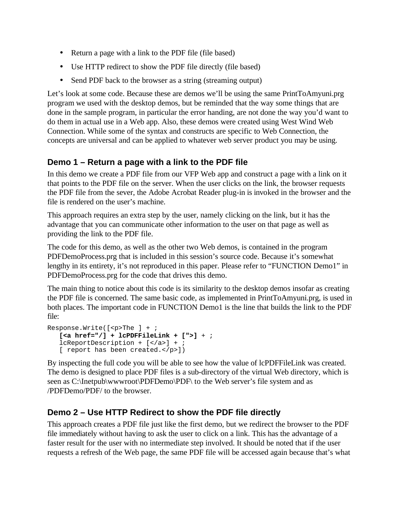- Return a page with a link to the PDF file (file based)
- Use HTTP redirect to show the PDF file directly (file based)
- Send PDF back to the browser as a string (streaming output)

Let's look at some code. Because these are demos we'll be using the same PrintToAmyuni.prg program we used with the desktop demos, but be reminded that the way some things that are done in the sample program, in particular the error handing, are not done the way you'd want to do them in actual use in a Web app. Also, these demos were created using West Wind Web Connection. While some of the syntax and constructs are specific to Web Connection, the concepts are universal and can be applied to whatever web server product you may be using.

#### **Demo 1 – Return a page with a link to the PDF file**

In this demo we create a PDF file from our VFP Web app and construct a page with a link on it that points to the PDF file on the server. When the user clicks on the link, the browser requests the PDF file from the sever, the Adobe Acrobat Reader plug-in is invoked in the browser and the file is rendered on the user's machine.

This approach requires an extra step by the user, namely clicking on the link, but it has the advantage that you can communicate other information to the user on that page as well as providing the link to the PDF file.

The code for this demo, as well as the other two Web demos, is contained in the program PDFDemoProcess.prg that is included in this session's source code. Because it's somewhat lengthy in its entirety, it's not reproduced in this paper. Please refer to "FUNCTION Demo1" in PDFDemoProcess.prg for the code that drives this demo.

The main thing to notice about this code is its similarity to the desktop demos insofar as creating the PDF file is concerned. The same basic code, as implemented in PrintToAmyuni.prg, is used in both places. The important code in FUNCTION Demo1 is the line that builds the link to the PDF file:

```
Response.Write([<p>The ] + ;
   [<a href="/] + lcPDFFileLink + [">] + ;
   lcReportDescription + [</a>] + ;
   [ report has been created.</p>])
```
By inspecting the full code you will be able to see how the value of lcPDFFileLink was created. The demo is designed to place PDF files is a sub-directory of the virtual Web directory, which is seen as C:\Inetpub\wwwroot\PDFDemo\PDF\ to the Web server's file system and as /PDFDemo/PDF/ to the browser.

#### **Demo 2 – Use HTTP Redirect to show the PDF file directly**

This approach creates a PDF file just like the first demo, but we redirect the browser to the PDF file immediately without having to ask the user to click on a link. This has the advantage of a faster result for the user with no intermediate step involved. It should be noted that if the user requests a refresh of the Web page, the same PDF file will be accessed again because that's what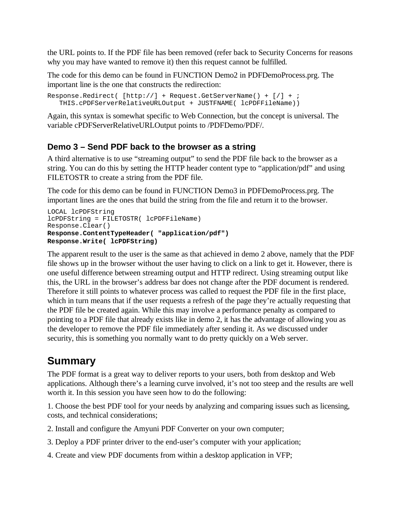the URL points to. If the PDF file has been removed (refer back to Security Concerns for reasons why you may have wanted to remove it) then this request cannot be fulfilled.

The code for this demo can be found in FUNCTION Demo2 in PDFDemoProcess.prg. The important line is the one that constructs the redirection:

```
Response.Redirect( [http://] + Request.GetServerName() + [/] + ; 
   THIS.cPDFServerRelativeURLOutput + JUSTFNAME( lcPDFFileName))
```
Again, this syntax is somewhat specific to Web Connection, but the concept is universal. The variable cPDFServerRelativeURLOutput points to /PDFDemo/PDF/.

#### **Demo 3 – Send PDF back to the browser as a string**

A third alternative is to use "streaming output" to send the PDF file back to the browser as a string. You can do this by setting the HTTP header content type to "application/pdf" and using FILETOSTR to create a string from the PDF file.

The code for this demo can be found in FUNCTION Demo3 in PDFDemoProcess.prg. The important lines are the ones that build the string from the file and return it to the browser.

```
LOCAL lcPDFString
lcPDFString = FILETOSTR( lcPDFFileName)
Response.Clear()
Response.ContentTypeHeader( "application/pdf")
Response.Write( lcPDFString)
```
The apparent result to the user is the same as that achieved in demo 2 above, namely that the PDF file shows up in the browser without the user having to click on a link to get it. However, there is one useful difference between streaming output and HTTP redirect. Using streaming output like this, the URL in the browser's address bar does not change after the PDF document is rendered. Therefore it still points to whatever process was called to request the PDF file in the first place, which in turn means that if the user requests a refresh of the page they're actually requesting that the PDF file be created again. While this may involve a performance penalty as compared to pointing to a PDF file that already exists like in demo 2, it has the advantage of allowing you as the developer to remove the PDF file immediately after sending it. As we discussed under security, this is something you normally want to do pretty quickly on a Web server.

# **Summary**

The PDF format is a great way to deliver reports to your users, both from desktop and Web applications. Although there's a learning curve involved, it's not too steep and the results are well worth it. In this session you have seen how to do the following:

1. Choose the best PDF tool for your needs by analyzing and comparing issues such as licensing, costs, and technical considerations;

- 2. Install and configure the Amyuni PDF Converter on your own computer;
- 3. Deploy a PDF printer driver to the end-user's computer with your application;
- 4. Create and view PDF documents from within a desktop application in VFP;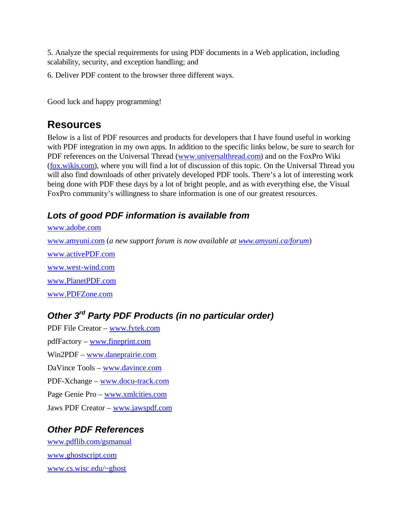5. Analyze the special requirements for using PDF documents in a Web application, including scalability, security, and exception handling; and

6. Deliver PDF content to the browser three different ways.

Good luck and happy programming!

#### **Resources**

Below is a list of PDF resources and products for developers that I have found useful in working with PDF integration in my own apps. In addition to the specific links below, be sure to search for PDF references on the Universal Thread (www.universalthread.com) and on the FoxPro Wiki (fox.wikis.com), where you will find a lot of discussion of this topic. On the Universal Thread you will also find downloads of other privately developed PDF tools. There's a lot of interesting work being done with PDF these days by a lot of bright people, and as with everything else, the Visual FoxPro community's willingness to share information is one of our greatest resources.

#### *Lots of good PDF information is available from*

www.adobe.com

www.amyuni.com (*a new support forum is now available at www.amyuni.ca/forum*)

www.activePDF.com www.west-wind.com www.PlanetPDF.com www.PDFZone.com

#### *Other 3rd Party PDF Products (in no particular order)*

PDF File Creator – www.fytek.com pdfFactory – www.fineprint.com Win2PDF – www.daneprairie.com DaVince Tools – www.davince.com PDF-Xchange – www.docu-track.com Page Genie Pro – www.xmlcities.com Jaws PDF Creator – www.jawspdf.com

#### *Other PDF References*

www.pdflib.com/gsmanual www.ghostscript.com www.cs.wisc.edu/~ghost